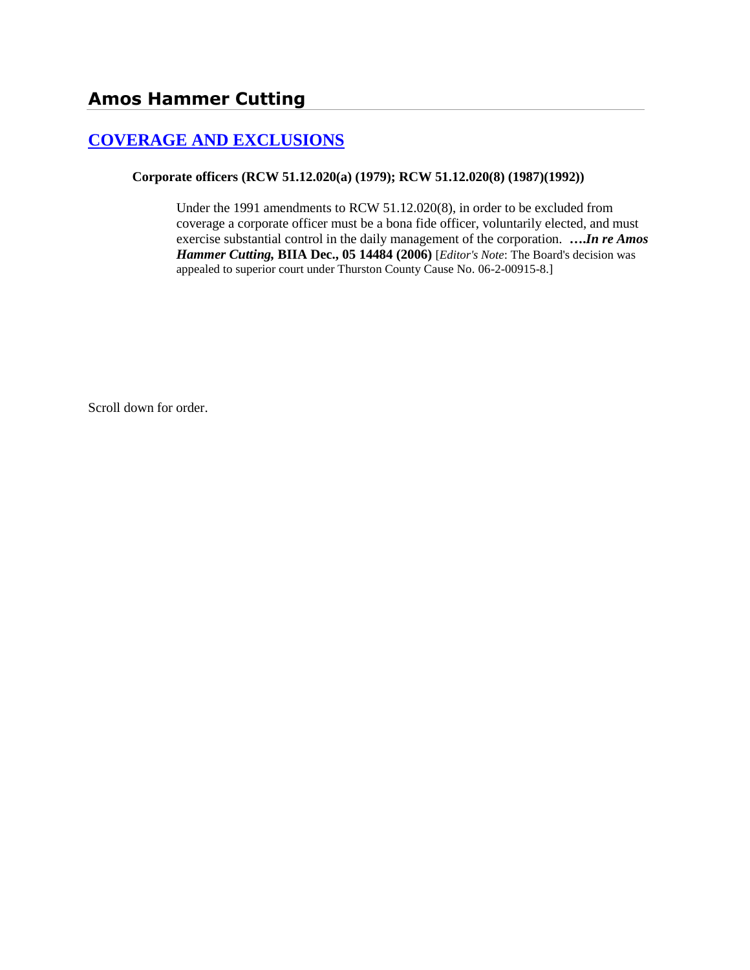# **[COVERAGE AND EXCLUSIONS](http://www.biia.wa.gov/SDSubjectIndex.html#COVERAGE_AND_EXCLUSIONS)**

**Corporate officers (RCW 51.12.020(a) (1979); RCW 51.12.020(8) (1987)(1992))**

Under the 1991 amendments to RCW 51.12.020(8), in order to be excluded from coverage a corporate officer must be a bona fide officer, voluntarily elected, and must exercise substantial control in the daily management of the corporation. **….***In re Amos Hammer Cutting,* **BIIA Dec., 05 14484 (2006)** [*Editor's Note*: The Board's decision was appealed to superior court under Thurston County Cause No. 06-2-00915-8.]

Scroll down for order.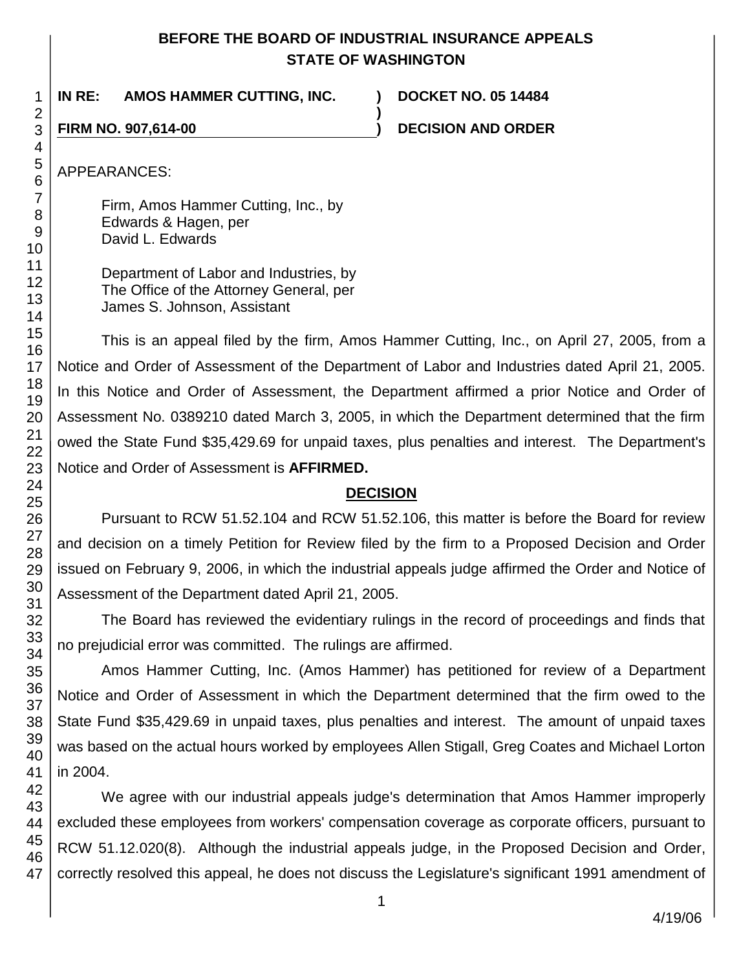## **BEFORE THE BOARD OF INDUSTRIAL INSURANCE APPEALS STATE OF WASHINGTON**

**)**

**IN RE: AMOS HAMMER CUTTING, INC. ) DOCKET NO. 05 14484**

**FIRM NO. 907,614-00 ) DECISION AND ORDER**

APPEARANCES:

Firm, Amos Hammer Cutting, Inc., by Edwards & Hagen, per David L. Edwards

Department of Labor and Industries, by The Office of the Attorney General, per James S. Johnson, Assistant

This is an appeal filed by the firm, Amos Hammer Cutting, Inc., on April 27, 2005, from a Notice and Order of Assessment of the Department of Labor and Industries dated April 21, 2005. In this Notice and Order of Assessment, the Department affirmed a prior Notice and Order of Assessment No. 0389210 dated March 3, 2005, in which the Department determined that the firm owed the State Fund \$35,429.69 for unpaid taxes, plus penalties and interest. The Department's Notice and Order of Assessment is **AFFIRMED.**

## **DECISION**

Pursuant to RCW 51.52.104 and RCW 51.52.106, this matter is before the Board for review and decision on a timely Petition for Review filed by the firm to a Proposed Decision and Order issued on February 9, 2006, in which the industrial appeals judge affirmed the Order and Notice of Assessment of the Department dated April 21, 2005.

The Board has reviewed the evidentiary rulings in the record of proceedings and finds that no prejudicial error was committed. The rulings are affirmed.

Amos Hammer Cutting, Inc. (Amos Hammer) has petitioned for review of a Department Notice and Order of Assessment in which the Department determined that the firm owed to the State Fund \$35,429.69 in unpaid taxes, plus penalties and interest. The amount of unpaid taxes was based on the actual hours worked by employees Allen Stigall, Greg Coates and Michael Lorton in 2004.

47 We agree with our industrial appeals judge's determination that Amos Hammer improperly excluded these employees from workers' compensation coverage as corporate officers, pursuant to RCW 51.12.020(8). Although the industrial appeals judge, in the Proposed Decision and Order, correctly resolved this appeal, he does not discuss the Legislature's significant 1991 amendment of

1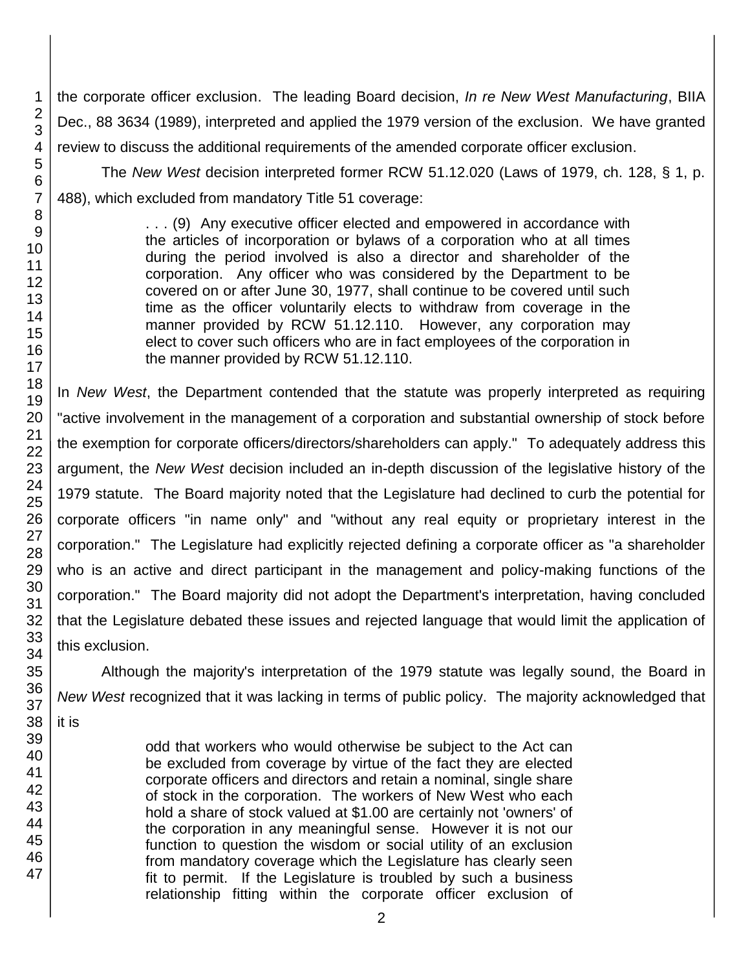the corporate officer exclusion. The leading Board decision, *In re New West Manufacturing*, BIIA Dec., 88 3634 (1989), interpreted and applied the 1979 version of the exclusion. We have granted review to discuss the additional requirements of the amended corporate officer exclusion.

The *New West* decision interpreted former RCW 51.12.020 (Laws of 1979, ch. 128, § 1, p. 488), which excluded from mandatory Title 51 coverage:

> . . . (9) Any executive officer elected and empowered in accordance with the articles of incorporation or bylaws of a corporation who at all times during the period involved is also a director and shareholder of the corporation. Any officer who was considered by the Department to be covered on or after June 30, 1977, shall continue to be covered until such time as the officer voluntarily elects to withdraw from coverage in the manner provided by RCW 51.12.110. However, any corporation may elect to cover such officers who are in fact employees of the corporation in the manner provided by RCW 51.12.110.

In *New West*, the Department contended that the statute was properly interpreted as requiring "active involvement in the management of a corporation and substantial ownership of stock before the exemption for corporate officers/directors/shareholders can apply." To adequately address this argument, the *New West* decision included an in-depth discussion of the legislative history of the 1979 statute. The Board majority noted that the Legislature had declined to curb the potential for corporate officers "in name only" and "without any real equity or proprietary interest in the corporation." The Legislature had explicitly rejected defining a corporate officer as "a shareholder who is an active and direct participant in the management and policy-making functions of the corporation." The Board majority did not adopt the Department's interpretation, having concluded that the Legislature debated these issues and rejected language that would limit the application of this exclusion.

Although the majority's interpretation of the 1979 statute was legally sound, the Board in *New West* recognized that it was lacking in terms of public policy. The majority acknowledged that

it is

47

odd that workers who would otherwise be subject to the Act can be excluded from coverage by virtue of the fact they are elected corporate officers and directors and retain a nominal, single share of stock in the corporation. The workers of New West who each hold a share of stock valued at \$1.00 are certainly not 'owners' of the corporation in any meaningful sense. However it is not our function to question the wisdom or social utility of an exclusion from mandatory coverage which the Legislature has clearly seen fit to permit. If the Legislature is troubled by such a business relationship fitting within the corporate officer exclusion of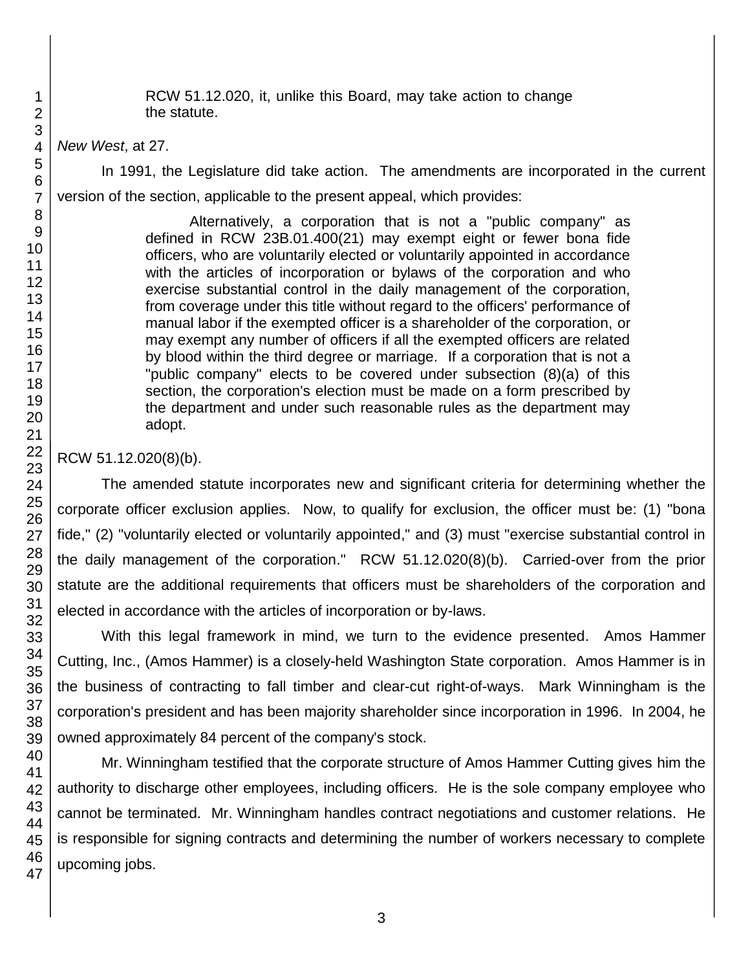RCW 51.12.020, it, unlike this Board, may take action to change the statute.

*New West*, at 27.

In 1991, the Legislature did take action. The amendments are incorporated in the current version of the section, applicable to the present appeal, which provides:

> Alternatively, a corporation that is not a "public company" as defined in RCW 23B.01.400(21) may exempt eight or fewer bona fide officers, who are voluntarily elected or voluntarily appointed in accordance with the articles of incorporation or bylaws of the corporation and who exercise substantial control in the daily management of the corporation, from coverage under this title without regard to the officers' performance of manual labor if the exempted officer is a shareholder of the corporation, or may exempt any number of officers if all the exempted officers are related by blood within the third degree or marriage. If a corporation that is not a "public company" elects to be covered under subsection (8)(a) of this section, the corporation's election must be made on a form prescribed by the department and under such reasonable rules as the department may adopt.

RCW 51.12.020(8)(b).

The amended statute incorporates new and significant criteria for determining whether the corporate officer exclusion applies. Now, to qualify for exclusion, the officer must be: (1) "bona fide," (2) "voluntarily elected or voluntarily appointed," and (3) must "exercise substantial control in the daily management of the corporation." RCW 51.12.020(8)(b). Carried-over from the prior statute are the additional requirements that officers must be shareholders of the corporation and elected in accordance with the articles of incorporation or by-laws.

With this legal framework in mind, we turn to the evidence presented. Amos Hammer Cutting, Inc., (Amos Hammer) is a closely-held Washington State corporation. Amos Hammer is in the business of contracting to fall timber and clear-cut right-of-ways. Mark Winningham is the corporation's president and has been majority shareholder since incorporation in 1996. In 2004, he owned approximately 84 percent of the company's stock.

Mr. Winningham testified that the corporate structure of Amos Hammer Cutting gives him the authority to discharge other employees, including officers. He is the sole company employee who cannot be terminated. Mr. Winningham handles contract negotiations and customer relations. He is responsible for signing contracts and determining the number of workers necessary to complete upcoming jobs.

1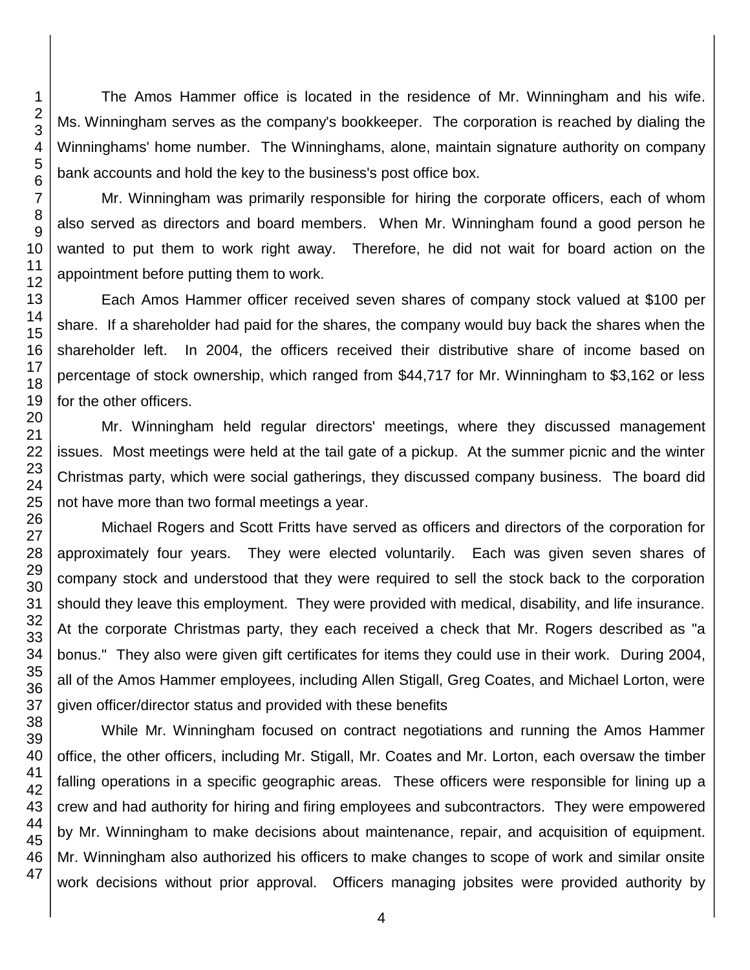The Amos Hammer office is located in the residence of Mr. Winningham and his wife. Ms. Winningham serves as the company's bookkeeper. The corporation is reached by dialing the Winninghams' home number. The Winninghams, alone, maintain signature authority on company bank accounts and hold the key to the business's post office box.

Mr. Winningham was primarily responsible for hiring the corporate officers, each of whom also served as directors and board members. When Mr. Winningham found a good person he wanted to put them to work right away. Therefore, he did not wait for board action on the appointment before putting them to work.

Each Amos Hammer officer received seven shares of company stock valued at \$100 per share. If a shareholder had paid for the shares, the company would buy back the shares when the shareholder left. In 2004, the officers received their distributive share of income based on percentage of stock ownership, which ranged from \$44,717 for Mr. Winningham to \$3,162 or less for the other officers.

Mr. Winningham held regular directors' meetings, where they discussed management issues. Most meetings were held at the tail gate of a pickup. At the summer picnic and the winter Christmas party, which were social gatherings, they discussed company business. The board did not have more than two formal meetings a year.

Michael Rogers and Scott Fritts have served as officers and directors of the corporation for approximately four years. They were elected voluntarily. Each was given seven shares of company stock and understood that they were required to sell the stock back to the corporation should they leave this employment. They were provided with medical, disability, and life insurance. At the corporate Christmas party, they each received a check that Mr. Rogers described as "a bonus." They also were given gift certificates for items they could use in their work. During 2004, all of the Amos Hammer employees, including Allen Stigall, Greg Coates, and Michael Lorton, were given officer/director status and provided with these benefits

While Mr. Winningham focused on contract negotiations and running the Amos Hammer office, the other officers, including Mr. Stigall, Mr. Coates and Mr. Lorton, each oversaw the timber falling operations in a specific geographic areas. These officers were responsible for lining up a crew and had authority for hiring and firing employees and subcontractors. They were empowered by Mr. Winningham to make decisions about maintenance, repair, and acquisition of equipment. Mr. Winningham also authorized his officers to make changes to scope of work and similar onsite work decisions without prior approval. Officers managing jobsites were provided authority by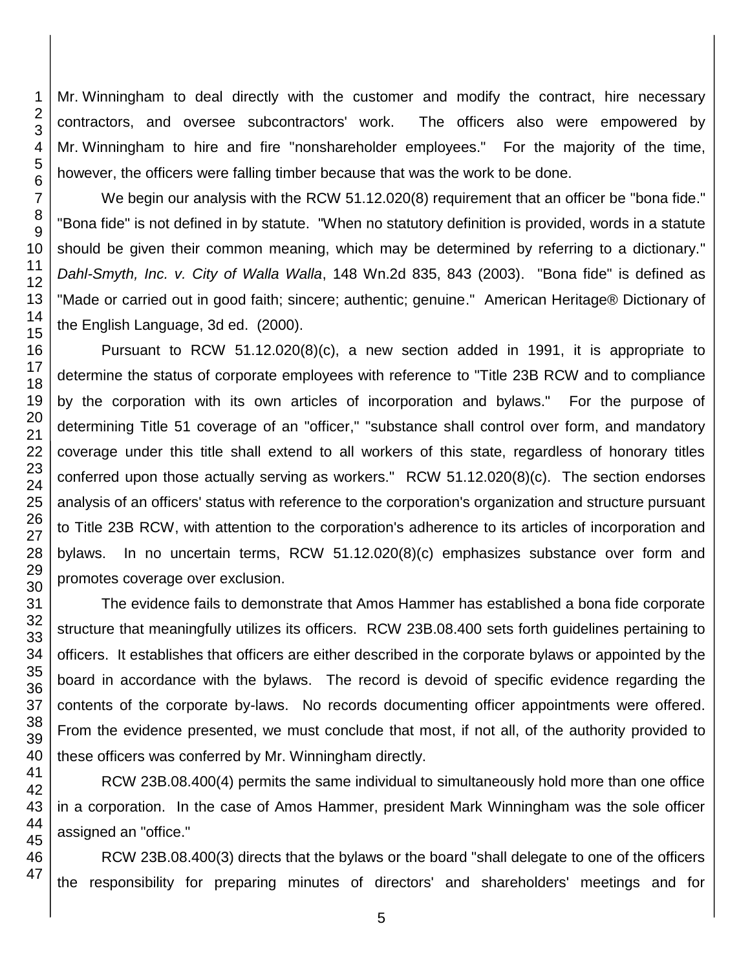Mr. Winningham to deal directly with the customer and modify the contract, hire necessary contractors, and oversee subcontractors' work. The officers also were empowered by Mr. Winningham to hire and fire "nonshareholder employees." For the majority of the time, however, the officers were falling timber because that was the work to be done.

We begin our analysis with the RCW 51.12.020(8) requirement that an officer be "bona fide." "Bona fide" is not defined in by statute. "When no statutory definition is provided, words in a statute should be given their common meaning, which may be determined by referring to a dictionary." *Dahl-Smyth, Inc. v. City of Walla Walla*, 148 Wn.2d 835, 843 (2003). "Bona fide" is defined as "Made or carried out in good faith; sincere; authentic; genuine." American Heritage® Dictionary of the English Language, 3d ed. (2000).

Pursuant to RCW 51.12.020(8)(c), a new section added in 1991, it is appropriate to determine the status of corporate employees with reference to "Title 23B RCW and to compliance by the corporation with its own articles of incorporation and bylaws." For the purpose of determining Title 51 coverage of an "officer," "substance shall control over form, and mandatory coverage under this title shall extend to all workers of this state, regardless of honorary titles conferred upon those actually serving as workers." RCW 51.12.020(8)(c). The section endorses analysis of an officers' status with reference to the corporation's organization and structure pursuant to Title 23B RCW, with attention to the corporation's adherence to its articles of incorporation and bylaws. In no uncertain terms, RCW 51.12.020(8)(c) emphasizes substance over form and promotes coverage over exclusion.

The evidence fails to demonstrate that Amos Hammer has established a bona fide corporate structure that meaningfully utilizes its officers. RCW 23B.08.400 sets forth guidelines pertaining to officers. It establishes that officers are either described in the corporate bylaws or appointed by the board in accordance with the bylaws. The record is devoid of specific evidence regarding the contents of the corporate by-laws. No records documenting officer appointments were offered. From the evidence presented, we must conclude that most, if not all, of the authority provided to these officers was conferred by Mr. Winningham directly.

RCW 23B.08.400(4) permits the same individual to simultaneously hold more than one office in a corporation. In the case of Amos Hammer, president Mark Winningham was the sole officer assigned an "office."

RCW 23B.08.400(3) directs that the bylaws or the board "shall delegate to one of the officers the responsibility for preparing minutes of directors' and shareholders' meetings and for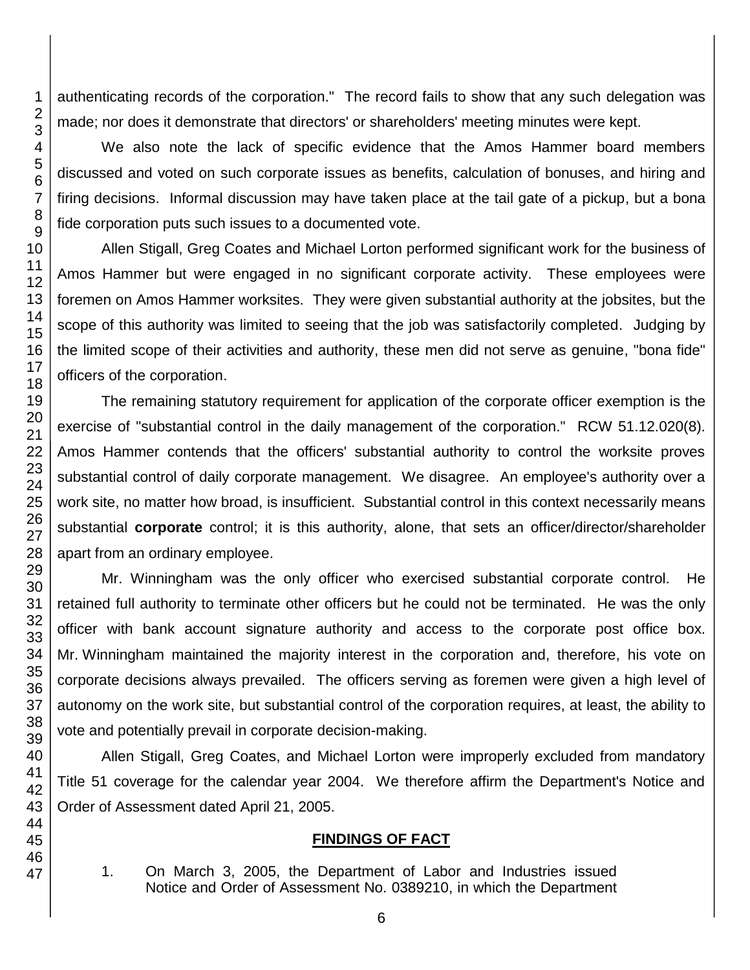authenticating records of the corporation." The record fails to show that any such delegation was made; nor does it demonstrate that directors' or shareholders' meeting minutes were kept.

We also note the lack of specific evidence that the Amos Hammer board members discussed and voted on such corporate issues as benefits, calculation of bonuses, and hiring and firing decisions. Informal discussion may have taken place at the tail gate of a pickup, but a bona fide corporation puts such issues to a documented vote.

Allen Stigall, Greg Coates and Michael Lorton performed significant work for the business of Amos Hammer but were engaged in no significant corporate activity. These employees were foremen on Amos Hammer worksites. They were given substantial authority at the jobsites, but the scope of this authority was limited to seeing that the job was satisfactorily completed. Judging by the limited scope of their activities and authority, these men did not serve as genuine, "bona fide" officers of the corporation.

The remaining statutory requirement for application of the corporate officer exemption is the exercise of "substantial control in the daily management of the corporation." RCW 51.12.020(8). Amos Hammer contends that the officers' substantial authority to control the worksite proves substantial control of daily corporate management. We disagree. An employee's authority over a work site, no matter how broad, is insufficient. Substantial control in this context necessarily means substantial **corporate** control; it is this authority, alone, that sets an officer/director/shareholder apart from an ordinary employee.

Mr. Winningham was the only officer who exercised substantial corporate control. He retained full authority to terminate other officers but he could not be terminated. He was the only officer with bank account signature authority and access to the corporate post office box. Mr. Winningham maintained the majority interest in the corporation and, therefore, his vote on corporate decisions always prevailed. The officers serving as foremen were given a high level of autonomy on the work site, but substantial control of the corporation requires, at least, the ability to vote and potentially prevail in corporate decision-making.

Allen Stigall, Greg Coates, and Michael Lorton were improperly excluded from mandatory Title 51 coverage for the calendar year 2004. We therefore affirm the Department's Notice and Order of Assessment dated April 21, 2005.

### **FINDINGS OF FACT**

- 
- 1. On March 3, 2005, the Department of Labor and Industries issued Notice and Order of Assessment No. 0389210, in which the Department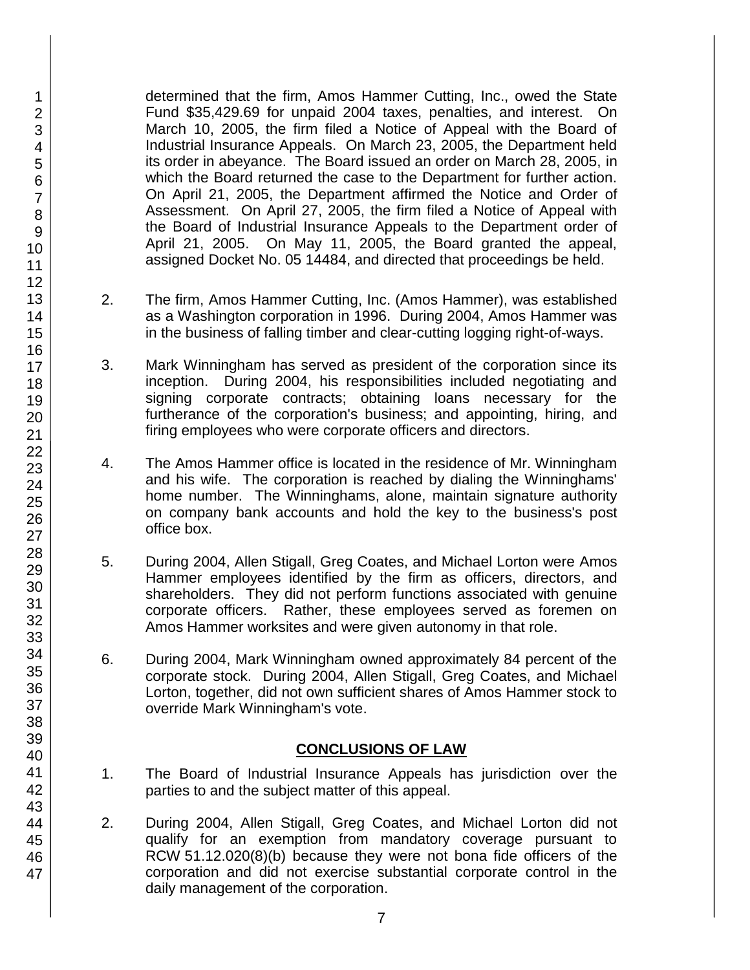determined that the firm, Amos Hammer Cutting, Inc., owed the State Fund \$35,429.69 for unpaid 2004 taxes, penalties, and interest. On March 10, 2005, the firm filed a Notice of Appeal with the Board of Industrial Insurance Appeals. On March 23, 2005, the Department held its order in abeyance. The Board issued an order on March 28, 2005, in which the Board returned the case to the Department for further action. On April 21, 2005, the Department affirmed the Notice and Order of Assessment. On April 27, 2005, the firm filed a Notice of Appeal with the Board of Industrial Insurance Appeals to the Department order of April 21, 2005. On May 11, 2005, the Board granted the appeal, assigned Docket No. 05 14484, and directed that proceedings be held.

- 2. The firm, Amos Hammer Cutting, Inc. (Amos Hammer), was established as a Washington corporation in 1996. During 2004, Amos Hammer was in the business of falling timber and clear-cutting logging right-of-ways.
- 3. Mark Winningham has served as president of the corporation since its inception. During 2004, his responsibilities included negotiating and signing corporate contracts; obtaining loans necessary for the furtherance of the corporation's business; and appointing, hiring, and firing employees who were corporate officers and directors.
- 4. The Amos Hammer office is located in the residence of Mr. Winningham and his wife. The corporation is reached by dialing the Winninghams' home number. The Winninghams, alone, maintain signature authority on company bank accounts and hold the key to the business's post office box.
- 5. During 2004, Allen Stigall, Greg Coates, and Michael Lorton were Amos Hammer employees identified by the firm as officers, directors, and shareholders. They did not perform functions associated with genuine corporate officers. Rather, these employees served as foremen on Amos Hammer worksites and were given autonomy in that role.
- 6. During 2004, Mark Winningham owned approximately 84 percent of the corporate stock. During 2004, Allen Stigall, Greg Coates, and Michael Lorton, together, did not own sufficient shares of Amos Hammer stock to override Mark Winningham's vote.

#### **CONCLUSIONS OF LAW**

- 1. The Board of Industrial Insurance Appeals has jurisdiction over the parties to and the subject matter of this appeal.
- 2. During 2004, Allen Stigall, Greg Coates, and Michael Lorton did not qualify for an exemption from mandatory coverage pursuant to RCW 51.12.020(8)(b) because they were not bona fide officers of the corporation and did not exercise substantial corporate control in the daily management of the corporation.